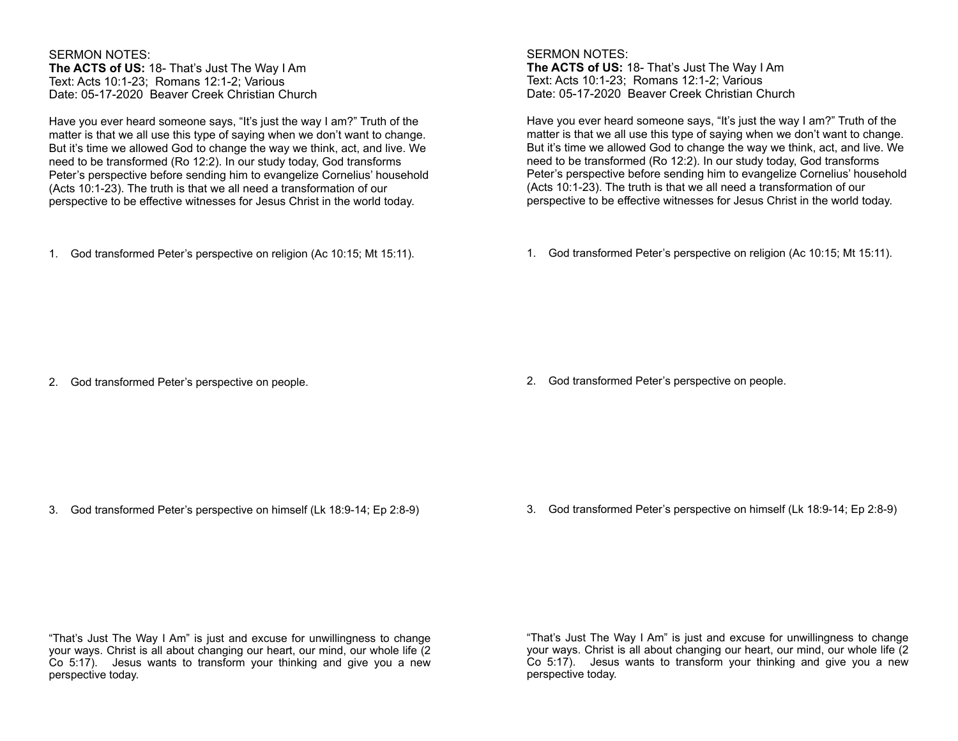SERMON NOTES: **The ACTS of US:** 18- That's Just The Way I Am Text: Acts 10:1-23; Romans 12:1-2; Various Date: 05-17-2020 Beaver Creek Christian Church

Have you ever heard someone says, "It's just the way I am?" Truth of the matter is that we all use this type of saying when we don't want to change. But it's time we allowed God to change the way we think, act, and live. We need to be transformed (Ro 12:2). In our study today, God transforms Peter's perspective before sending him to evangelize Cornelius' household (Acts 10:1-23). The truth is that we all need a transformation of our perspective to be effective witnesses for Jesus Christ in the world today.

1. God transformed Peter's perspective on religion (Ac 10:15; Mt 15:11).

SERMON NOTES: **The ACTS of US:** 18- That's Just The Way I Am Text: Acts 10:1-23; Romans 12:1-2; Various Date: 05-17-2020 Beaver Creek Christian Church

Have you ever heard someone says, "It's just the way I am?" Truth of the matter is that we all use this type of saying when we don't want to change. But it's time we allowed God to change the way we think, act, and live. We need to be transformed (Ro 12:2). In our study today, God transforms Peter's perspective before sending him to evangelize Cornelius' household (Acts 10:1-23). The truth is that we all need a transformation of our perspective to be effective witnesses for Jesus Christ in the world today.

1. God transformed Peter's perspective on religion (Ac 10:15; Mt 15:11).

2. God transformed Peter's perspective on people.

2. God transformed Peter's perspective on people.

3. God transformed Peter's perspective on himself (Lk 18:9-14; Ep 2:8-9)

3. God transformed Peter's perspective on himself (Lk 18:9-14; Ep 2:8-9)

"That's Just The Way I Am" is just and excuse for unwillingness to change your ways. Christ is all about changing our heart, our mind, our whole life (2 Co 5:17). Jesus wants to transform your thinking and give you a new perspective today.

"That's Just The Way I Am" is just and excuse for unwillingness to change your ways. Christ is all about changing our heart, our mind, our whole life (2 Co 5:17). Jesus wants to transform your thinking and give you a new perspective today.